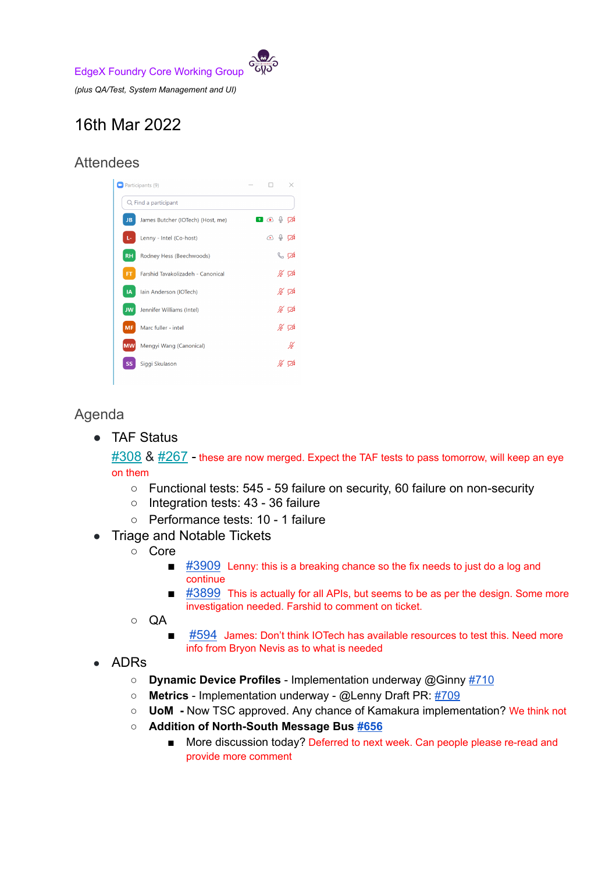EdgeX Foundry Core Working Group

*(plus QA/Test, System Management and UI)*

## 16th Mar 2022

## **Attendees**

| Participants (9)     |                                   |  |                                              | ×                |
|----------------------|-----------------------------------|--|----------------------------------------------|------------------|
| Q Find a participant |                                   |  |                                              |                  |
| <b>JB</b>            | James Butcher (IOTech) (Host, me) |  | ∩⊙↓⊘                                         |                  |
| Ŀ.                   | Lenny - Intel (Co-host)           |  | $\circledcirc$ $\circledcirc$ $\circledcirc$ |                  |
| <b>RH</b>            | Rodney Hess (Beechwoods)          |  |                                              | $\mathbb{C}$ d   |
| <b>FT</b>            | Farshid Tavakolizadeh - Canonical |  |                                              | ∦ ⊄              |
| IA                   | Iain Anderson (IOTech)            |  |                                              | ∦ ⊄              |
| <b>JW</b>            | Jennifer Williams (Intel)         |  |                                              | ∦ ⊄              |
| <b>MF</b>            | Marc fuller - intel               |  |                                              | $\frac{N}{N}$ TA |
| <b>MW</b>            | Mengyi Wang (Canonical)           |  |                                              | H                |
| ςc                   | Siggi Skulason                    |  |                                              |                  |

## Agenda

● TAF Status

 $\#308$  $\#308$  &  $\#267$  $\#267$  - these are now merged. Expect the TAF tests to pass tomorrow, will keep an eye on them

- Functional tests: 545 59 failure on security, 60 failure on non-security
- Integration tests: 43 36 failure
- Performance tests: 10 1 failure
- Triage and Notable Tickets
	- Core
		- $\blacksquare$  [#3909](https://github.com/edgexfoundry/edgex-go/issues/3909) Lenny: this is a breaking chance so the fix needs to just do a log and continue
		- $\blacksquare$  [#3899](https://github.com/edgexfoundry/edgex-go/issues/3899) This is actually for all APIs, but seems to be as per the design. Some more investigation needed. Farshid to comment on ticket.
	- QA
		- [#594](https://github.com/edgexfoundry/edgex-taf/issues/594) James: Don't think IOTech has available resources to test this. Need more info from Bryon Nevis as to what is needed
- ADRs
	- **○ Dynamic Device Profiles** Implementation underway @Ginny [#710](https://github.com/edgexfoundry/go-mod-core-contracts/issues/710)
	- **Metrics** Implementation underway @Lenny Draft PR: [#709](https://github.com/edgexfoundry/go-mod-core-contracts/pull/709)
	- **UoM -** Now TSC approved. Any chance of Kamakura implementation? We think not
	- **○ Addition of North-South Message Bus [#656](https://github.com/edgexfoundry/edgex-docs/pull/656)**
		- More discussion today? Deferred to next week. Can people please re-read and provide more comment